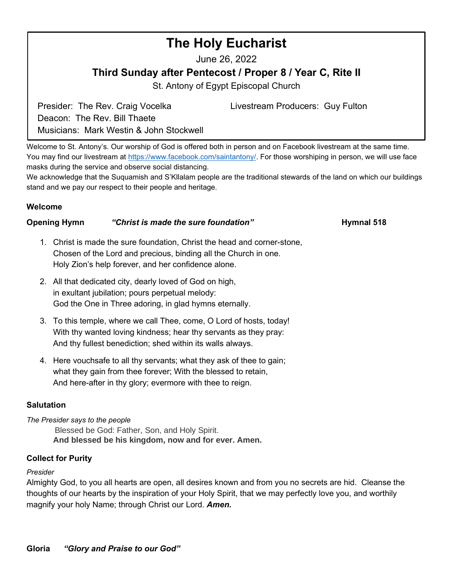# **The Holy Eucharist**

June 26, 2022

**Third Sunday after Pentecost / Proper 8 / Year C, Rite II**

St. Antony of Egypt Episcopal Church

Presider: The Rev. Craig Vocelka Deacon: The Rev. Bill Thaete Musicians: Mark Westin & John Stockwell

Welcome to St. Antony's. Our worship of God is offered both in person and on Facebook livestream at the same time. You may find our livestream at [https://www.facebook.com/saintantony/.](https://www.facebook.com/saintantony/) For those worshiping in person, we will use face masks during the service and observe social distancing.

We acknowledge that the Suquamish and S'Kllalam people are the traditional stewards of the land on which our buildings stand and we pay our respect to their people and heritage.

#### **Welcome**

#### **Opening Hymn** *<i>"Christ is made the sure foundation"* Hymnal 518

- 1. Christ is made the sure foundation, Christ the head and corner-stone, Chosen of the Lord and precious, binding all the Church in one. Holy Zion's help forever, and her confidence alone.
- 2. All that dedicated city, dearly loved of God on high, in exultant jubilation; pours perpetual melody: God the One in Three adoring, in glad hymns eternally.
- 3. To this temple, where we call Thee, come, O Lord of hosts, today! With thy wanted loving kindness; hear thy servants as they pray: And thy fullest benediction; shed within its walls always.
- 4. Here vouchsafe to all thy servants; what they ask of thee to gain; what they gain from thee forever; With the blessed to retain, And here-after in thy glory; evermore with thee to reign.

#### **Salutation**

*The Presider says to the people* 

 Blessed be God: Father, Son, and Holy Spirit. **And blessed be his kingdom, now and for ever. Amen.**

#### **Collect for Purity**

#### *Presider*

Almighty God, to you all hearts are open, all desires known and from you no secrets are hid. Cleanse the thoughts of our hearts by the inspiration of your Holy Spirit, that we may perfectly love you, and worthily magnify your holy Name; through Christ our Lord. *Amen.*

Livestream Producers: Guy Fulton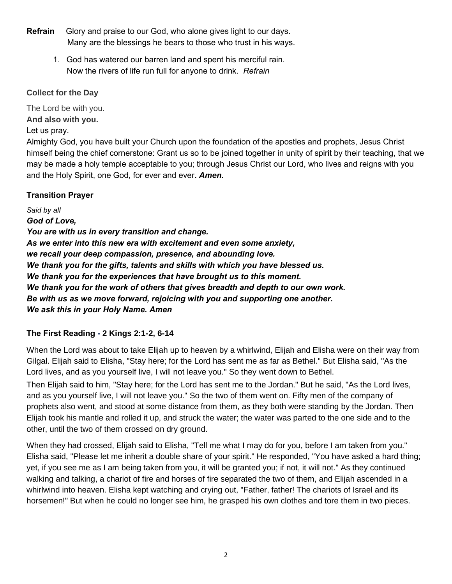- **Refrain** Glory and praise to our God, who alone gives light to our days. Many are the blessings he bears to those who trust in his ways.
	- 1. God has watered our barren land and spent his merciful rain. Now the rivers of life run full for anyone to drink. *Refrain*

#### **Collect for the Day**

The Lord be with you. **And also with you.** Let us pray.

Almighty God, you have built your Church upon the foundation of the apostles and prophets, Jesus Christ himself being the chief cornerstone: Grant us so to be joined together in unity of spirit by their teaching, that we may be made a holy temple acceptable to you; through Jesus Christ our Lord, who lives and reigns with you and the Holy Spirit, one God, for ever and ever**.** *Amen.*

#### **Transition Prayer**

*Said by all God of Love, You are with us in every transition and change. As we enter into this new era with excitement and even some anxiety, we recall your deep compassion, presence, and abounding love. We thank you for the gifts, talents and skills with which you have blessed us. We thank you for the experiences that have brought us to this moment. We thank you for the work of others that gives breadth and depth to our own work. Be with us as we move forward, rejoicing with you and supporting one another. We ask this in your Holy Name. Amen*

### **The First Reading - 2 Kings 2:1-2, 6-14**

When the Lord was about to take Elijah up to heaven by a whirlwind, Elijah and Elisha were on their way from Gilgal. Elijah said to Elisha, "Stay here; for the Lord has sent me as far as Bethel." But Elisha said, "As the Lord lives, and as you yourself live, I will not leave you." So they went down to Bethel.

Then Elijah said to him, "Stay here; for the Lord has sent me to the Jordan." But he said, "As the Lord lives, and as you yourself live, I will not leave you." So the two of them went on. Fifty men of the company of prophets also went, and stood at some distance from them, as they both were standing by the Jordan. Then Elijah took his mantle and rolled it up, and struck the water; the water was parted to the one side and to the other, until the two of them crossed on dry ground.

When they had crossed, Elijah said to Elisha, "Tell me what I may do for you, before I am taken from you." Elisha said, "Please let me inherit a double share of your spirit." He responded, "You have asked a hard thing; yet, if you see me as I am being taken from you, it will be granted you; if not, it will not." As they continued walking and talking, a chariot of fire and horses of fire separated the two of them, and Elijah ascended in a whirlwind into heaven. Elisha kept watching and crying out, "Father, father! The chariots of Israel and its horsemen!" But when he could no longer see him, he grasped his own clothes and tore them in two pieces.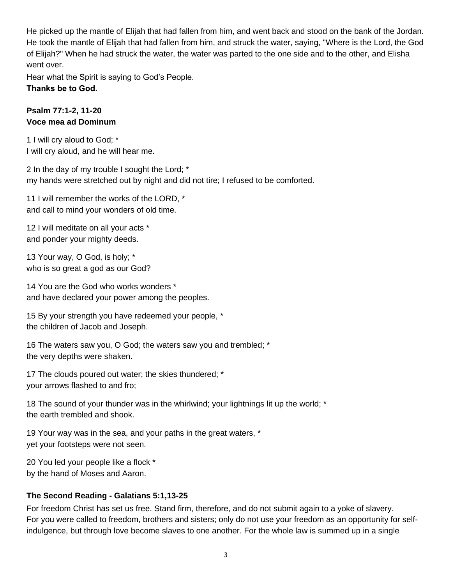He picked up the mantle of Elijah that had fallen from him, and went back and stood on the bank of the Jordan. He took the mantle of Elijah that had fallen from him, and struck the water, saying, "Where is the Lord, the God of Elijah?" When he had struck the water, the water was parted to the one side and to the other, and Elisha went over.

Hear what the Spirit is saying to God's People. **Thanks be to God.**

#### **Psalm 77:1-2, 11-20 Voce mea ad Dominum**

1 I will cry aloud to God; \* I will cry aloud, and he will hear me.

2 In the day of my trouble I sought the Lord; \* my hands were stretched out by night and did not tire; I refused to be comforted.

11 I will remember the works of the LORD, \* and call to mind your wonders of old time.

12 I will meditate on all your acts \* and ponder your mighty deeds.

13 Your way, O God, is holy; \* who is so great a god as our God?

14 You are the God who works wonders \* and have declared your power among the peoples.

15 By your strength you have redeemed your people, \* the children of Jacob and Joseph.

16 The waters saw you, O God; the waters saw you and trembled; \* the very depths were shaken.

17 The clouds poured out water; the skies thundered; \* your arrows flashed to and fro;

18 The sound of your thunder was in the whirlwind; your lightnings lit up the world; \* the earth trembled and shook.

19 Your way was in the sea, and your paths in the great waters, \* yet your footsteps were not seen.

20 You led your people like a flock \* by the hand of Moses and Aaron.

### **The Second Reading - Galatians 5:1,13-25**

For freedom Christ has set us free. Stand firm, therefore, and do not submit again to a yoke of slavery. For you were called to freedom, brothers and sisters; only do not use your freedom as an opportunity for selfindulgence, but through love become slaves to one another. For the whole law is summed up in a single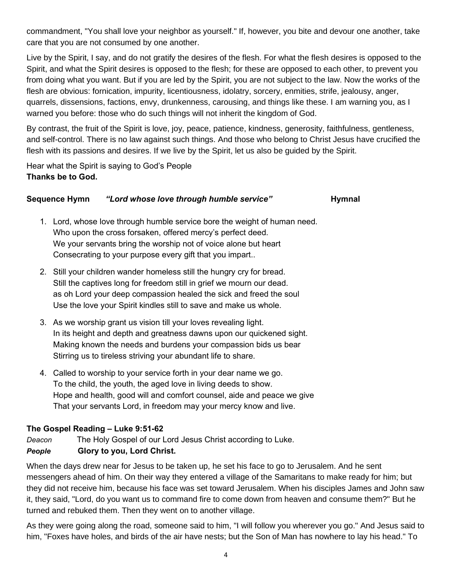commandment, "You shall love your neighbor as yourself." If, however, you bite and devour one another, take care that you are not consumed by one another.

Live by the Spirit, I say, and do not gratify the desires of the flesh. For what the flesh desires is opposed to the Spirit, and what the Spirit desires is opposed to the flesh; for these are opposed to each other, to prevent you from doing what you want. But if you are led by the Spirit, you are not subject to the law. Now the works of the flesh are obvious: fornication, impurity, licentiousness, idolatry, sorcery, enmities, strife, jealousy, anger, quarrels, dissensions, factions, envy, drunkenness, carousing, and things like these. I am warning you, as I warned you before: those who do such things will not inherit the kingdom of God.

By contrast, the fruit of the Spirit is love, joy, peace, patience, kindness, generosity, faithfulness, gentleness, and self-control. There is no law against such things. And those who belong to Christ Jesus have crucified the flesh with its passions and desires. If we live by the Spirit, let us also be guided by the Spirit.

Hear what the Spirit is saying to God's People **Thanks be to God.**

#### **Sequence Hymn** *"Lord whose love through humble service"* **Hymnal**

- 1. Lord, whose love through humble service bore the weight of human need. Who upon the cross forsaken, offered mercy's perfect deed. We your servants bring the worship not of voice alone but heart Consecrating to your purpose every gift that you impart..
- 2. Still your children wander homeless still the hungry cry for bread. Still the captives long for freedom still in grief we mourn our dead. as oh Lord your deep compassion healed the sick and freed the soul Use the love your Spirit kindles still to save and make us whole.
- 3. As we worship grant us vision till your loves revealing light. In its height and depth and greatness dawns upon our quickened sight. Making known the needs and burdens your compassion bids us bear Stirring us to tireless striving your abundant life to share.
- 4. Called to worship to your service forth in your dear name we go. To the child, the youth, the aged love in living deeds to show. Hope and health, good will and comfort counsel, aide and peace we give That your servants Lord, in freedom may your mercy know and live.

#### **The Gospel Reading – Luke 9:51-62**

*Deacon* The Holy Gospel of our Lord Jesus Christ according to Luke.

### *People* **Glory to you, Lord Christ.**

When the days drew near for Jesus to be taken up, he set his face to go to Jerusalem. And he sent messengers ahead of him. On their way they entered a village of the Samaritans to make ready for him; but they did not receive him, because his face was set toward Jerusalem. When his disciples James and John saw it, they said, "Lord, do you want us to command fire to come down from heaven and consume them?" But he turned and rebuked them. Then they went on to another village.

As they were going along the road, someone said to him, "I will follow you wherever you go." And Jesus said to him, "Foxes have holes, and birds of the air have nests; but the Son of Man has nowhere to lay his head." To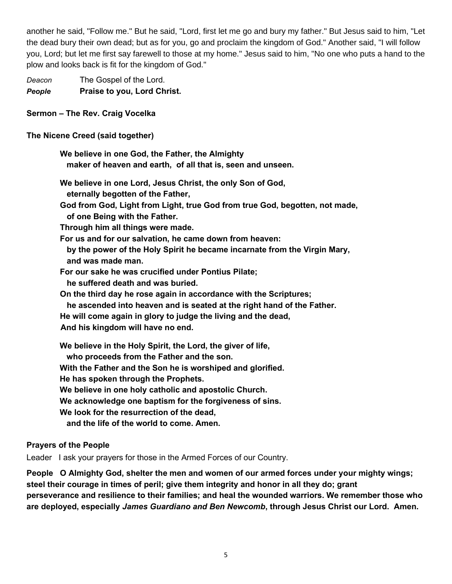another he said, "Follow me." But he said, "Lord, first let me go and bury my father." But Jesus said to him, "Let the dead bury their own dead; but as for you, go and proclaim the kingdom of God." Another said, "I will follow you, Lord; but let me first say farewell to those at my home." Jesus said to him, "No one who puts a hand to the plow and looks back is fit for the kingdom of God."

*Deacon* The Gospel of the Lord.

*People* **Praise to you, Lord Christ.**

**Sermon – The Rev. Craig Vocelka**

**The Nicene Creed (said together)**

| We believe in one God, the Father, the Almighty                                                                                             |
|---------------------------------------------------------------------------------------------------------------------------------------------|
| maker of heaven and earth, of all that is, seen and unseen.                                                                                 |
| We believe in one Lord, Jesus Christ, the only Son of God,<br>eternally begotten of the Father,                                             |
| God from God, Light from Light, true God from true God, begotten, not made,<br>of one Being with the Father.                                |
| Through him all things were made.                                                                                                           |
| For us and for our salvation, he came down from heaven:                                                                                     |
| by the power of the Holy Spirit he became incarnate from the Virgin Mary,<br>and was made man.                                              |
| For our sake he was crucified under Pontius Pilate;<br>he suffered death and was buried.                                                    |
| On the third day he rose again in accordance with the Scriptures;<br>he ascended into heaven and is seated at the right hand of the Father. |
| He will come again in glory to judge the living and the dead,                                                                               |
| And his kingdom will have no end.                                                                                                           |
| We believe in the Holy Spirit, the Lord, the giver of life,                                                                                 |
| who proceeds from the Father and the son.                                                                                                   |
| With the Father and the Son he is worshiped and glorified.                                                                                  |
| He has spoken through the Prophets.                                                                                                         |
| We believe in one holy catholic and apostolic Church.                                                                                       |
| We acknowledge one baptism for the forgiveness of sins.                                                                                     |
| We look for the resurrection of the dead,                                                                                                   |
| and the life of the world to come. Amen.                                                                                                    |

#### **Prayers of the People**

LeaderI ask your prayers for those in the Armed Forces of our Country.

**People O Almighty God, shelter the men and women of our armed forces under your mighty wings; steel their courage in times of peril; give them integrity and honor in all they do; grant perseverance and resilience to their families; and heal the wounded warriors. We remember those who are deployed, especially** *James Guardiano and Ben Newcomb***, through Jesus Christ our Lord. Amen.**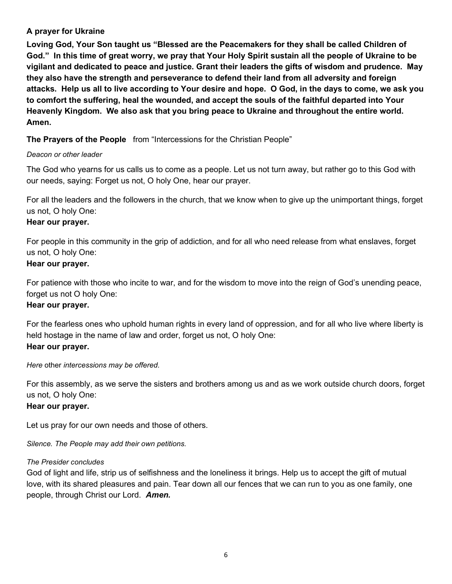#### **A prayer for Ukraine**

**Loving God, Your Son taught us "Blessed are the Peacemakers for they shall be called Children of God." In this time of great worry, we pray that Your Holy Spirit sustain all the people of Ukraine to be vigilant and dedicated to peace and justice. Grant their leaders the gifts of wisdom and prudence. May they also have the strength and perseverance to defend their land from all adversity and foreign attacks. Help us all to live according to Your desire and hope. O God, in the days to come, we ask you to comfort the suffering, heal the wounded, and accept the souls of the faithful departed into Your Heavenly Kingdom. We also ask that you bring peace to Ukraine and throughout the entire world. Amen.**

**The Prayers of the People** from "Intercessions for the Christian People"

#### *Deacon or other leader*

The God who yearns for us calls us to come as a people. Let us not turn away, but rather go to this God with our needs, saying: Forget us not, O holy One, hear our prayer.

For all the leaders and the followers in the church, that we know when to give up the unimportant things, forget us not, O holy One:

#### **Hear our prayer.**

For people in this community in the grip of addiction, and for all who need release from what enslaves, forget us not, O holy One:

#### **Hear our prayer.**

For patience with those who incite to war, and for the wisdom to move into the reign of God's unending peace, forget us not O holy One:

#### **Hear our prayer.**

For the fearless ones who uphold human rights in every land of oppression, and for all who live where liberty is held hostage in the name of law and order, forget us not, O holy One: **Hear our prayer.**

## *Here* other *intercessions may be offered.*

For this assembly, as we serve the sisters and brothers among us and as we work outside church doors, forget us not, O holy One:

#### **Hear our prayer.**

Let us pray for our own needs and those of others.

*Silence. The People may add their own petitions.*

#### *The Presider concludes*

God of light and life, strip us of selfishness and the loneliness it brings. Help us to accept the gift of mutual love, with its shared pleasures and pain. Tear down all our fences that we can run to you as one family, one people, through Christ our Lord. *Amen.*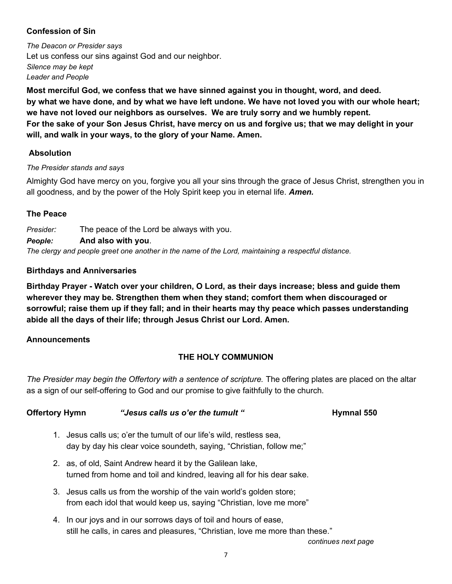#### **Confession of Sin**

*The Deacon or Presider says* Let us confess our sins against God and our neighbor. *Silence may be kept Leader and People*

**Most merciful God, we confess that we have sinned against you in thought, word, and deed. by what we have done, and by what we have left undone. We have not loved you with our whole heart; we have not loved our neighbors as ourselves. We are truly sorry and we humbly repent. For the sake of your Son Jesus Christ, have mercy on us and forgive us; that we may delight in your will, and walk in your ways, to the glory of your Name. Amen.** 

#### **Absolution**

#### *The Presider stands and says*

Almighty God have mercy on you, forgive you all your sins through the grace of Jesus Christ, strengthen you in all goodness, and by the power of the Holy Spirit keep you in eternal life. *Amen.*

#### **The Peace**

*Presider:* The peace of the Lord be always with you. *People:* **And also with you**. *The clergy and people greet one another in the name of the Lord, maintaining a respectful distance.*

#### **Birthdays and Anniversaries**

**Birthday Prayer - Watch over your children, O Lord, as their days increase; bless and guide them wherever they may be. Strengthen them when they stand; comfort them when discouraged or sorrowful; raise them up if they fall; and in their hearts may thy peace which passes understanding abide all the days of their life; through Jesus Christ our Lord. Amen.**

#### **Announcements**

### **THE HOLY COMMUNION**

*The Presider may begin the Offertory with a sentence of scripture.* The offering plates are placed on the altar as a sign of our self-offering to God and our promise to give faithfully to the church.

| <b>Offertory Hymn</b> | "Jesus calls us o'er the tumult"                                                                                                             | Hymnal 550 |
|-----------------------|----------------------------------------------------------------------------------------------------------------------------------------------|------------|
|                       | 1. Jesus calls us; o'er the tumult of our life's wild, restless sea,<br>day by day his clear voice soundeth, saying, "Christian, follow me;" |            |
|                       | 2. as, of old, Saint Andrew heard it by the Galilean lake,                                                                                   |            |

- turned from home and toil and kindred, leaving all for his dear sake.
- 3. Jesus calls us from the worship of the vain world's golden store; from each idol that would keep us, saying "Christian, love me more"
- 4. In our joys and in our sorrows days of toil and hours of ease, still he calls, in cares and pleasures, "Christian, love me more than these."

*continues next page*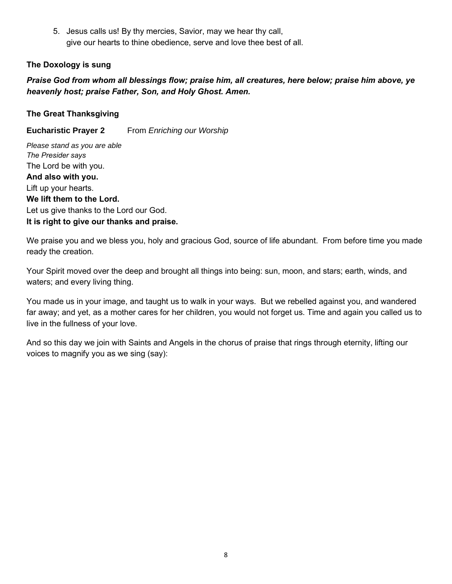5. Jesus calls us! By thy mercies, Savior, may we hear thy call, give our hearts to thine obedience, serve and love thee best of all.

#### **The Doxology is sung**

#### *Praise God from whom all blessings flow; praise him, all creatures, here below; praise him above, ye heavenly host; praise Father, Son, and Holy Ghost. Amen.*

#### **The Great Thanksgiving**

**Eucharistic Prayer 2** From *Enriching our Worship*

*Please stand as you are able The Presider says* The Lord be with you. **And also with you.** Lift up your hearts. **We lift them to the Lord.** Let us give thanks to the Lord our God. **It is right to give our thanks and praise.** 

We praise you and we bless you, holy and gracious God, source of life abundant. From before time you made ready the creation.

Your Spirit moved over the deep and brought all things into being: sun, moon, and stars; earth, winds, and waters; and every living thing.

You made us in your image, and taught us to walk in your ways. But we rebelled against you, and wandered far away; and yet, as a mother cares for her children, you would not forget us. Time and again you called us to live in the fullness of your love.

And so this day we join with Saints and Angels in the chorus of praise that rings through eternity, lifting our voices to magnify you as we sing (say):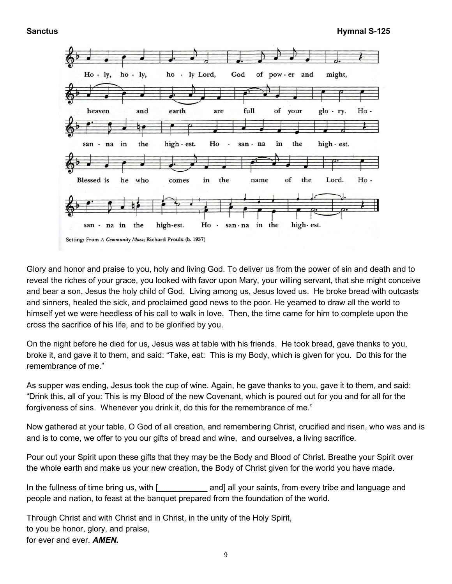

Glory and honor and praise to you, holy and living God. To deliver us from the power of sin and death and to reveal the riches of your grace, you looked with favor upon Mary, your willing servant, that she might conceive and bear a son, Jesus the holy child of God. Living among us, Jesus loved us. He broke bread with outcasts and sinners, healed the sick, and proclaimed good news to the poor. He yearned to draw all the world to himself yet we were heedless of his call to walk in love. Then, the time came for him to complete upon the cross the sacrifice of his life, and to be glorified by you.

On the night before he died for us, Jesus was at table with his friends. He took bread, gave thanks to you, broke it, and gave it to them, and said: "Take, eat: This is my Body, which is given for you. Do this for the remembrance of me."

As supper was ending, Jesus took the cup of wine. Again, he gave thanks to you, gave it to them, and said: "Drink this, all of you: This is my Blood of the new Covenant, which is poured out for you and for all for the forgiveness of sins. Whenever you drink it, do this for the remembrance of me."

Now gathered at your table, O God of all creation, and remembering Christ, crucified and risen, who was and is and is to come, we offer to you our gifts of bread and wine, and ourselves, a living sacrifice.

Pour out your Spirit upon these gifts that they may be the Body and Blood of Christ. Breathe your Spirit over the whole earth and make us your new creation, the Body of Christ given for the world you have made.

In the fullness of time bring us, with [\_\_\_\_\_\_\_\_\_\_\_ and] all your saints, from every tribe and language and people and nation, to feast at the banquet prepared from the foundation of the world.

Through Christ and with Christ and in Christ, in the unity of the Holy Spirit, to you be honor, glory, and praise, for ever and ever. *AMEN.*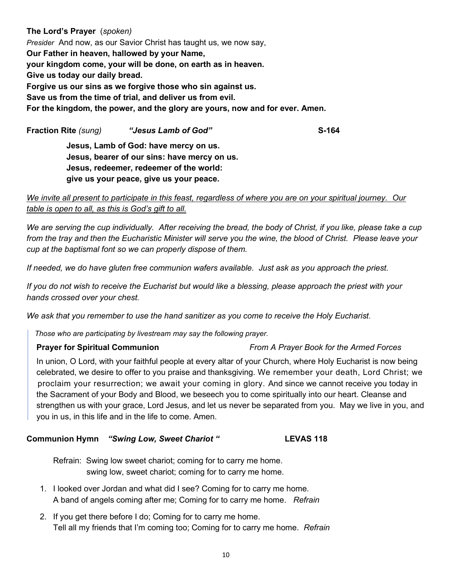**The Lord's Prayer** (*spoken) Presider* And now, as our Savior Christ has taught us, we now say, **Our Father in heaven, hallowed by your Name, your kingdom come, your will be done, on earth as in heaven. Give us today our daily bread. Forgive us our sins as we forgive those who sin against us. Save us from the time of trial, and deliver us from evil. For the kingdom, the power, and the glory are yours, now and for ever. Amen.**

**Fraction Rite** *(sung) "Jesus Lamb of God"* **S-164**

**Jesus, Lamb of God: have mercy on us. Jesus, bearer of our sins: have mercy on us. Jesus, redeemer, redeemer of the world: give us your peace, give us your peace.**

#### *We invite all present to participate in this feast, regardless of where you are on your spiritual journey. Our table is open to all, as this is God's gift to all.*

*We are serving the cup individually. After receiving the bread, the body of Christ, if you like, please take a cup from the tray and then the Eucharistic Minister will serve you the wine, the blood of Christ. Please leave your cup at the baptismal font so we can properly dispose of them.* 

*If needed, we do have gluten free communion wafers available. Just ask as you approach the priest.* 

*If you do not wish to receive the Eucharist but would like a blessing, please approach the priest with your hands crossed over your chest.* 

*We ask that you remember to use the hand sanitizer as you come to receive the Holy Eucharist.*

 *Those who are participating by livestream may say the following prayer.*

#### **Prayer for Spiritual Communion** *From A Prayer Book for the Armed Forces*

 In union, O Lord, with your faithful people at every altar of your Church, where Holy Eucharist is now being celebrated, we desire to offer to you praise and thanksgiving. We remember your death, Lord Christ; we proclaim your resurrection; we await your coming in glory. And since we cannot receive you today in the Sacrament of your Body and Blood, we beseech you to come spiritually into our heart. Cleanse and strengthen us with your grace, Lord Jesus, and let us never be separated from you. May we live in you, and you in us, in this life and in the life to come. Amen.

#### **Communion Hymn** *"Swing Low, Sweet Chariot "* **LEVAS 118**

Refrain: Swing low sweet chariot; coming for to carry me home. swing low, sweet chariot; coming for to carry me home.

- 1. I looked over Jordan and what did I see? Coming for to carry me home. A band of angels coming after me; Coming for to carry me home. *Refrain*
- 2. If you get there before I do; Coming for to carry me home. Tell all my friends that I'm coming too; Coming for to carry me home. *Refrain*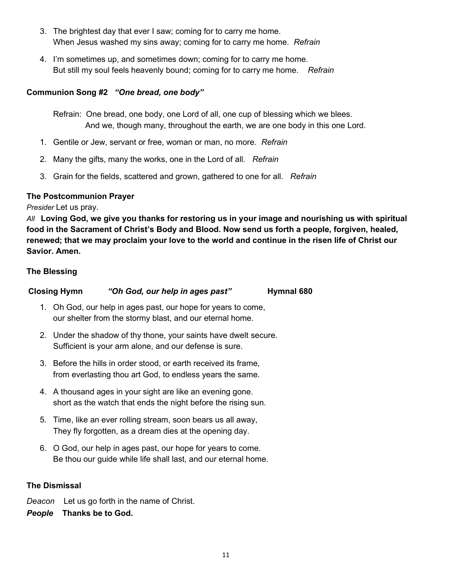- 3. The brightest day that ever I saw; coming for to carry me home. When Jesus washed my sins away; coming for to carry me home. *Refrain*
- 4. I'm sometimes up, and sometimes down; coming for to carry me home. But still my soul feels heavenly bound; coming for to carry me home. *Refrain*

#### **Communion Song #2** *"One bread, one body"*

Refrain: One bread, one body, one Lord of all, one cup of blessing which we blees. And we, though many, throughout the earth, we are one body in this one Lord.

- 1. Gentile or Jew, servant or free, woman or man, no more. *Refrain*
- 2. Many the gifts, many the works, one in the Lord of all. *Refrain*
- 3. Grain for the fields, scattered and grown, gathered to one for all. *Refrain*

#### **The Postcommunion Prayer**

#### *Presider* Let us pray.

*All* **Loving God, we give you thanks for restoring us in your image and nourishing us with spiritual food in the Sacrament of Christ's Body and Blood. Now send us forth a people, forgiven, healed, renewed; that we may proclaim your love to the world and continue in the risen life of Christ our Savior. Amen.**

#### **The Blessing**

| <b>Closing Hymn</b> | "Oh God, our help in ages past" | Hymnal 680 |
|---------------------|---------------------------------|------------|
|                     |                                 |            |

- 1. Oh God, our help in ages past, our hope for years to come, our shelter from the stormy blast, and our eternal home.
- 2. Under the shadow of thy thone, your saints have dwelt secure. Sufficient is your arm alone, and our defense is sure.
- 3. Before the hills in order stood, or earth received its frame, from everlasting thou art God, to endless years the same.
- 4. A thousand ages in your sight are like an evening gone. short as the watch that ends the night before the rising sun.
- 5. Time, like an ever rolling stream, soon bears us all away, They fly forgotten, as a dream dies at the opening day.
- 6. O God, our help in ages past, our hope for years to come. Be thou our guide while life shall last, and our eternal home.

#### **The Dismissal**

*Deacon* Let us go forth in the name of Christ. *People* **Thanks be to God.**